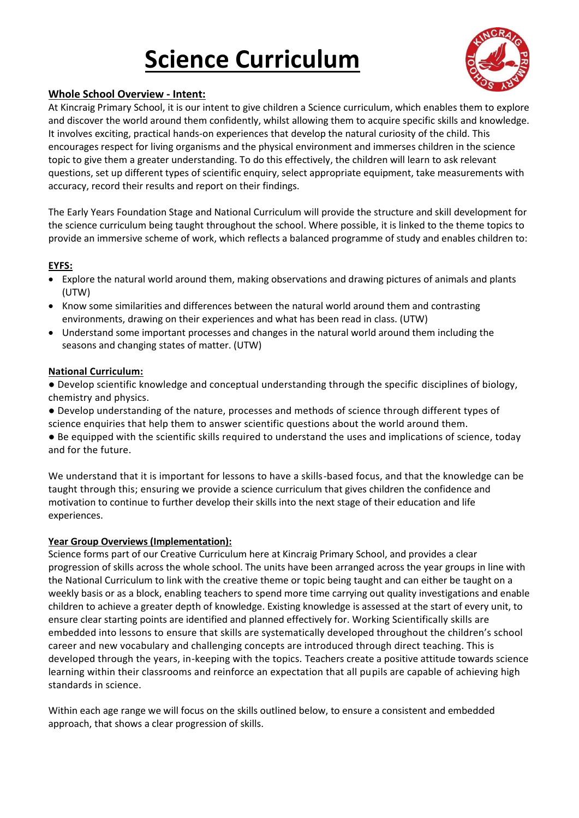# **Science Curriculum**



## **Whole School Overview - Intent:**

At Kincraig Primary School, it is our intent to give children a Science curriculum, which enables them to explore and discover the world around them confidently, whilst allowing them to acquire specific skills and knowledge. It involves exciting, practical hands-on experiences that develop the natural curiosity of the child. This encourages respect for living organisms and the physical environment and immerses children in the science topic to give them a greater understanding. To do this effectively, the children will learn to ask relevant questions, set up different types of scientific enquiry, select appropriate equipment, take measurements with accuracy, record their results and report on their findings.

The Early Years Foundation Stage and National Curriculum will provide the structure and skill development for the science curriculum being taught throughout the school. Where possible, it is linked to the theme topics to provide an immersive scheme of work, which reflects a balanced programme of study and enables children to:

### **EYFS:**

- Explore the natural world around them, making observations and drawing pictures of animals and plants (UTW)
- Know some similarities and differences between the natural world around them and contrasting environments, drawing on their experiences and what has been read in class. (UTW)
- Understand some important processes and changes in the natural world around them including the seasons and changing states of matter. (UTW)

### **National Curriculum:**

● Develop scientific knowledge and conceptual understanding through the specific disciplines of biology, chemistry and physics.

● Develop understanding of the nature, processes and methods of science through different types of science enquiries that help them to answer scientific questions about the world around them.

● Be equipped with the scientific skills required to understand the uses and implications of science, today and for the future.

We understand that it is important for lessons to have a skills-based focus, and that the knowledge can be taught through this; ensuring we provide a science curriculum that gives children the confidence and motivation to continue to further develop their skills into the next stage of their education and life experiences.

### **Year Group Overviews (Implementation):**

Science forms part of our Creative Curriculum here at Kincraig Primary School, and provides a clear progression of skills across the whole school. The units have been arranged across the year groups in line with the National Curriculum to link with the creative theme or topic being taught and can either be taught on a weekly basis or as a block, enabling teachers to spend more time carrying out quality investigations and enable children to achieve a greater depth of knowledge. Existing knowledge is assessed at the start of every unit, to ensure clear starting points are identified and planned effectively for. Working Scientifically skills are embedded into lessons to ensure that skills are systematically developed throughout the children's school career and new vocabulary and challenging concepts are introduced through direct teaching. This is developed through the years, in-keeping with the topics. Teachers create a positive attitude towards science learning within their classrooms and reinforce an expectation that all pupils are capable of achieving high standards in science.

Within each age range we will focus on the skills outlined below, to ensure a consistent and embedded approach, that shows a clear progression of skills.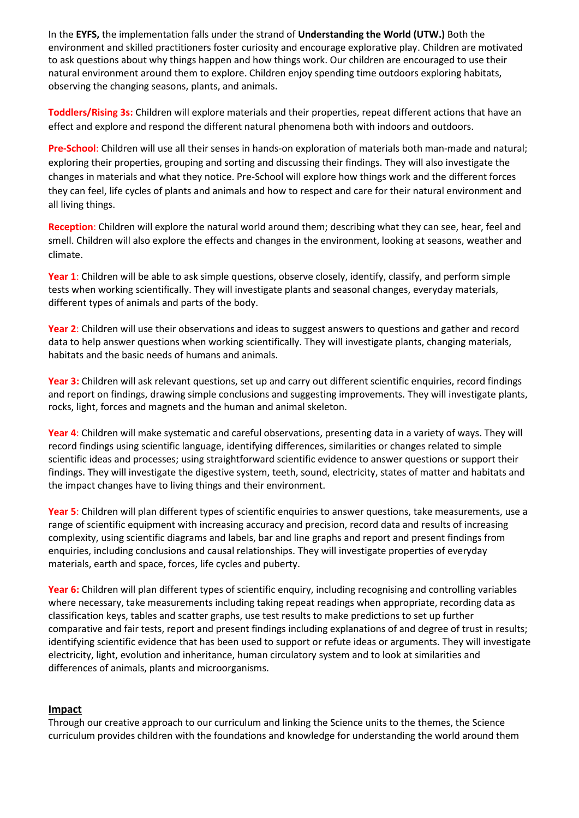In the **EYFS,** the implementation falls under the strand of **Understanding the World (UTW.)** Both the environment and skilled practitioners foster curiosity and encourage explorative play. Children are motivated to ask questions about why things happen and how things work. Our children are encouraged to use their natural environment around them to explore. Children enjoy spending time outdoors exploring habitats, observing the changing seasons, plants, and animals.

**Toddlers/Rising 3s:** Children will explore materials and their properties, repeat different actions that have an effect and explore and respond the different natural phenomena both with indoors and outdoors.

**Pre-School**: Children will use all their senses in hands-on exploration of materials both man-made and natural; exploring their properties, grouping and sorting and discussing their findings. They will also investigate the changes in materials and what they notice. Pre-School will explore how things work and the different forces they can feel, life cycles of plants and animals and how to respect and care for their natural environment and all living things.

**Reception**: Children will explore the natural world around them; describing what they can see, hear, feel and smell. Children will also explore the effects and changes in the environment, looking at seasons, weather and climate.

**Year 1**: Children will be able to ask simple questions, observe closely, identify, classify, and perform simple tests when working scientifically. They will investigate plants and seasonal changes, everyday materials, different types of animals and parts of the body.

**Year 2**: Children will use their observations and ideas to suggest answers to questions and gather and record data to help answer questions when working scientifically. They will investigate plants, changing materials, habitats and the basic needs of humans and animals.

**Year 3:** Children will ask relevant questions, set up and carry out different scientific enquiries, record findings and report on findings, drawing simple conclusions and suggesting improvements. They will investigate plants, rocks, light, forces and magnets and the human and animal skeleton.

**Year 4**: Children will make systematic and careful observations, presenting data in a variety of ways. They will record findings using scientific language, identifying differences, similarities or changes related to simple scientific ideas and processes; using straightforward scientific evidence to answer questions or support their findings. They will investigate the digestive system, teeth, sound, electricity, states of matter and habitats and the impact changes have to living things and their environment.

**Year 5**: Children will plan different types of scientific enquiries to answer questions, take measurements, use a range of scientific equipment with increasing accuracy and precision, record data and results of increasing complexity, using scientific diagrams and labels, bar and line graphs and report and present findings from enquiries, including conclusions and causal relationships. They will investigate properties of everyday materials, earth and space, forces, life cycles and puberty.

**Year 6:** Children will plan different types of scientific enquiry, including recognising and controlling variables where necessary, take measurements including taking repeat readings when appropriate, recording data as classification keys, tables and scatter graphs, use test results to make predictions to set up further comparative and fair tests, report and present findings including explanations of and degree of trust in results; identifying scientific evidence that has been used to support or refute ideas or arguments. They will investigate electricity, light, evolution and inheritance, human circulatory system and to look at similarities and differences of animals, plants and microorganisms.

#### **Impact**

Through our creative approach to our curriculum and linking the Science units to the themes, the Science curriculum provides children with the foundations and knowledge for understanding the world around them